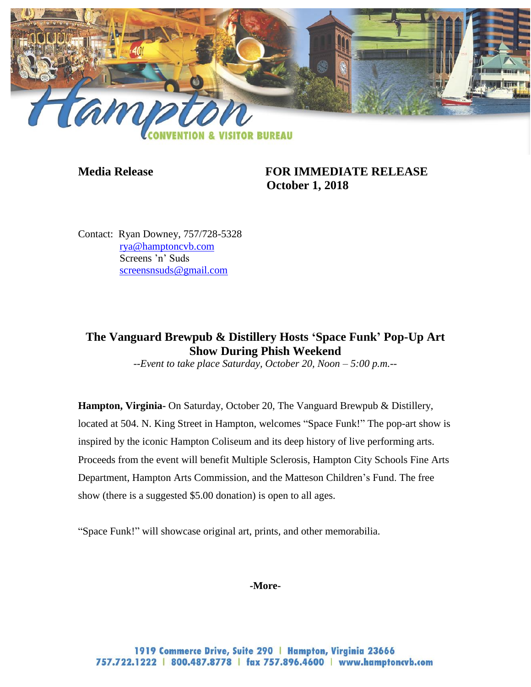

**Media Release FOR IMMEDIATE RELEASE October 1, 2018**

Contact: Ryan Downey, 757/728-5328 [rya@hamptoncvb.com](mailto:rya@hamptoncvb.com) Screens 'n' Suds [screensnsuds@gmail.com](mailto:screensnsuds@gmail.com)

## **The Vanguard Brewpub & Distillery Hosts 'Space Funk' Pop-Up Art Show During Phish Weekend**

*--Event to take place Saturday, October 20, Noon – 5:00 p.m.--*

**Hampton, Virginia-** On Saturday, October 20, The Vanguard Brewpub & Distillery, located at 504. N. King Street in Hampton, welcomes "Space Funk!" The pop-art show is inspired by the iconic Hampton Coliseum and its deep history of live performing arts. Proceeds from the event will benefit Multiple Sclerosis, Hampton City Schools Fine Arts Department, Hampton Arts Commission, and the Matteson Children's Fund. The free show (there is a suggested \$5.00 donation) is open to all ages.

"Space Funk!" will showcase original art, prints, and other memorabilia.

**-More-**